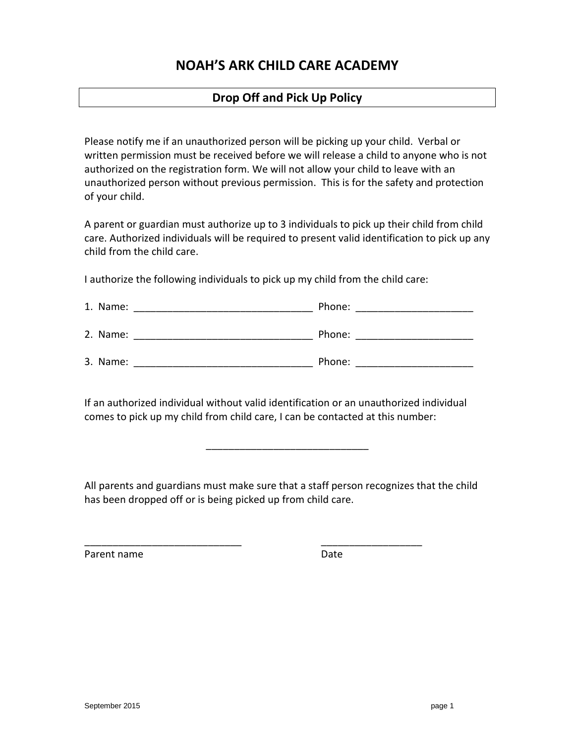# **NOAH'S ARK CHILD CARE ACADEMY**

## **Drop Off and Pick Up Policy**

Please notify me if an unauthorized person will be picking up your child. Verbal or written permission must be received before we will release a child to anyone who is not authorized on the registration form. We will not allow your child to leave with an unauthorized person without previous permission. This is for the safety and protection of your child.

A parent or guardian must authorize up to 3 individuals to pick up their child from child care. Authorized individuals will be required to present valid identification to pick up any child from the child care.

I authorize the following individuals to pick up my child from the child care:

| 1. Name: | Phone: |
|----------|--------|
| 2. Name: | Phone: |
| 3. Name: | Phone: |

If an authorized individual without valid identification or an unauthorized individual comes to pick up my child from child care, I can be contacted at this number:

All parents and guardians must make sure that a staff person recognizes that the child has been dropped off or is being picked up from child care.

\_\_\_\_\_\_\_\_\_\_\_\_\_\_\_\_\_\_\_\_\_\_\_\_\_\_\_\_ \_\_\_\_\_\_\_\_\_\_\_\_\_\_\_\_\_\_

\_\_\_\_\_\_\_\_\_\_\_\_\_\_\_\_\_\_\_\_\_\_\_\_\_\_\_\_\_

Parent name **Date** Date **Date**